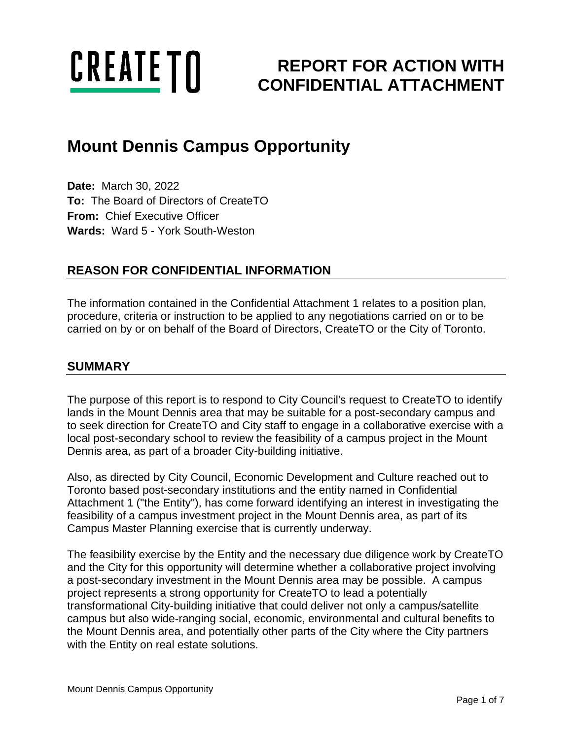

# **REPORT FOR ACTION WITH CONFIDENTIAL ATTACHMENT**

## **Mount Dennis Campus Opportunity**

**Date:** March 30, 2022 **To:** The Board of Directors of CreateTO **From:** Chief Executive Officer **Wards:** Ward 5 - York South-Weston

## **REASON FOR CONFIDENTIAL INFORMATION**

The information contained in the Confidential Attachment 1 relates to a position plan, procedure, criteria or instruction to be applied to any negotiations carried on or to be carried on by or on behalf of the Board of Directors, CreateTO or the City of Toronto.

#### **SUMMARY**

The purpose of this report is to respond to City Council's request to CreateTO to identify lands in the Mount Dennis area that may be suitable for a post-secondary campus and to seek direction for CreateTO and City staff to engage in a collaborative exercise with a local post-secondary school to review the feasibility of a campus project in the Mount Dennis area, as part of a broader City-building initiative.

Also, as directed by City Council, Economic Development and Culture reached out to Toronto based post-secondary institutions and the entity named in Confidential Attachment 1 ("the Entity"), has come forward identifying an interest in investigating the feasibility of a campus investment project in the Mount Dennis area, as part of its Campus Master Planning exercise that is currently underway.

The feasibility exercise by the Entity and the necessary due diligence work by CreateTO and the City for this opportunity will determine whether a collaborative project involving a post-secondary investment in the Mount Dennis area may be possible. A campus project represents a strong opportunity for CreateTO to lead a potentially transformational City-building initiative that could deliver not only a campus/satellite campus but also wide-ranging social, economic, environmental and cultural benefits to the Mount Dennis area, and potentially other parts of the City where the City partners with the Entity on real estate solutions.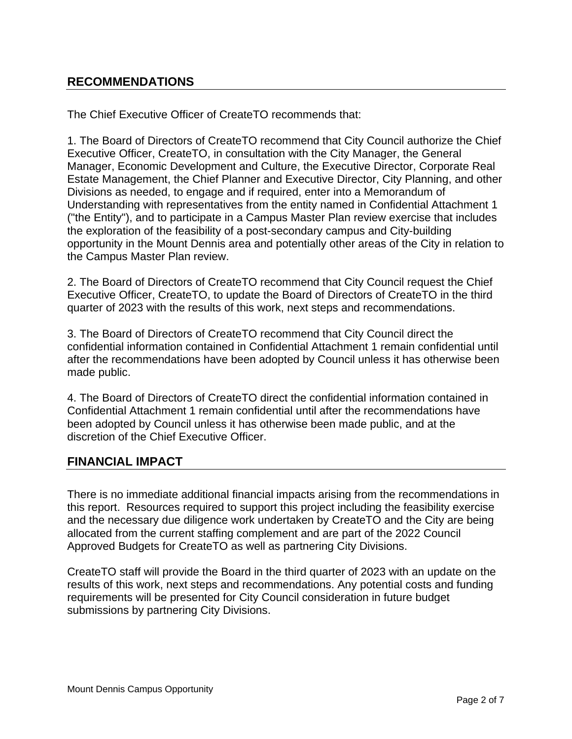## **RECOMMENDATIONS**

The Chief Executive Officer of CreateTO recommends that:

1. The Board of Directors of CreateTO recommend that City Council authorize the Chief Executive Officer, CreateTO, in consultation with the City Manager, the General Manager, Economic Development and Culture, the Executive Director, Corporate Real Estate Management, the Chief Planner and Executive Director, City Planning, and other Divisions as needed, to engage and if required, enter into a Memorandum of Understanding with representatives from the entity named in Confidential Attachment 1 ("the Entity"), and to participate in a Campus Master Plan review exercise that includes the exploration of the feasibility of a post-secondary campus and City-building opportunity in the Mount Dennis area and potentially other areas of the City in relation to the Campus Master Plan review.

2. The Board of Directors of CreateTO recommend that City Council request the Chief Executive Officer, CreateTO, to update the Board of Directors of CreateTO in the third quarter of 2023 with the results of this work, next steps and recommendations.

3. The Board of Directors of CreateTO recommend that City Council direct the confidential information contained in Confidential Attachment 1 remain confidential until after the recommendations have been adopted by Council unless it has otherwise been made public.

4. The Board of Directors of CreateTO direct the confidential information contained in Confidential Attachment 1 remain confidential until after the recommendations have been adopted by Council unless it has otherwise been made public, and at the discretion of the Chief Executive Officer.

#### **FINANCIAL IMPACT**

There is no immediate additional financial impacts arising from the recommendations in this report. Resources required to support this project including the feasibility exercise and the necessary due diligence work undertaken by CreateTO and the City are being allocated from the current staffing complement and are part of the 2022 Council Approved Budgets for CreateTO as well as partnering City Divisions.

CreateTO staff will provide the Board in the third quarter of 2023 with an update on the results of this work, next steps and recommendations. Any potential costs and funding requirements will be presented for City Council consideration in future budget submissions by partnering City Divisions.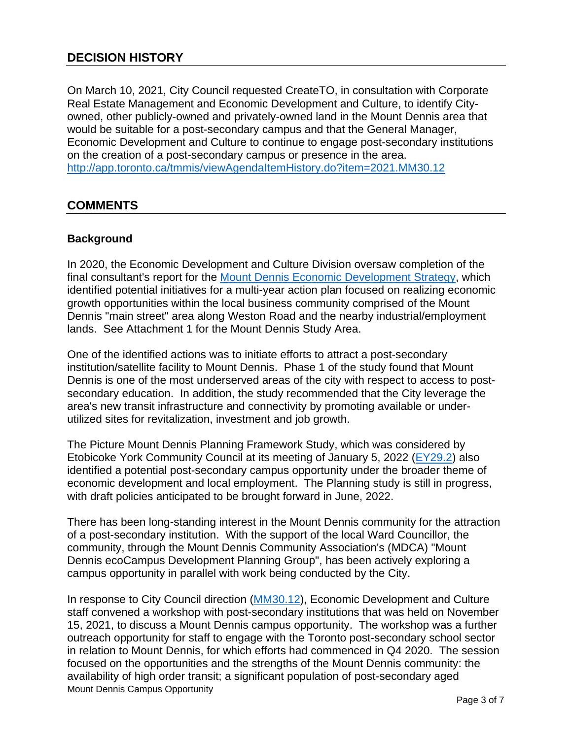On March 10, 2021, City Council requested CreateTO, in consultation with Corporate Real Estate Management and Economic Development and Culture, to identify Cityowned, other publicly-owned and privately-owned land in the Mount Dennis area that would be suitable for a post-secondary campus and that the General Manager, Economic Development and Culture to continue to engage post-secondary institutions on the creation of a post-secondary campus or presence in the area. <http://app.toronto.ca/tmmis/viewAgendaItemHistory.do?item=2021.MM30.12>

## **COMMENTS**

#### **Background**

In 2020, the Economic Development and Culture Division oversaw completion of the final consultant's report for the [Mount Dennis Economic Development Strategy,](https://www.toronto.ca/community-people/get-involved/public-consultations/mount-dennis-economic-development-strategy/) which identified potential initiatives for a multi-year action plan focused on realizing economic growth opportunities within the local business community comprised of the Mount Dennis "main street" area along Weston Road and the nearby industrial/employment lands. See Attachment 1 for the Mount Dennis Study Area.

One of the identified actions was to initiate efforts to attract a post-secondary institution/satellite facility to Mount Dennis. Phase 1 of the study found that Mount Dennis is one of the most underserved areas of the city with respect to access to postsecondary education. In addition, the study recommended that the City leverage the area's new transit infrastructure and connectivity by promoting available or underutilized sites for revitalization, investment and job growth.

The Picture Mount Dennis Planning Framework Study, which was considered by Etobicoke York Community Council at its meeting of January 5, 2022 [\(EY29.2\)](http://app.toronto.ca/tmmis/viewAgendaItemHistory.do?item=2022.EY29.2) also identified a potential post-secondary campus opportunity under the broader theme of economic development and local employment. The Planning study is still in progress, with draft policies anticipated to be brought forward in June, 2022.

There has been long-standing interest in the Mount Dennis community for the attraction of a post-secondary institution. With the support of the local Ward Councillor, the community, through the Mount Dennis Community Association's (MDCA) "Mount Dennis ecoCampus Development Planning Group", has been actively exploring a campus opportunity in parallel with work being conducted by the City.

Mount Dennis Campus Opportunity In response to City Council direction [\(MM30.12\)](http://app.toronto.ca/tmmis/viewAgendaItemHistory.do?item=2021.MM30.12), Economic Development and Culture staff convened a workshop with post-secondary institutions that was held on November 15, 2021, to discuss a Mount Dennis campus opportunity. The workshop was a further outreach opportunity for staff to engage with the Toronto post-secondary school sector in relation to Mount Dennis, for which efforts had commenced in Q4 2020. The session focused on the opportunities and the strengths of the Mount Dennis community: the availability of high order transit; a significant population of post-secondary aged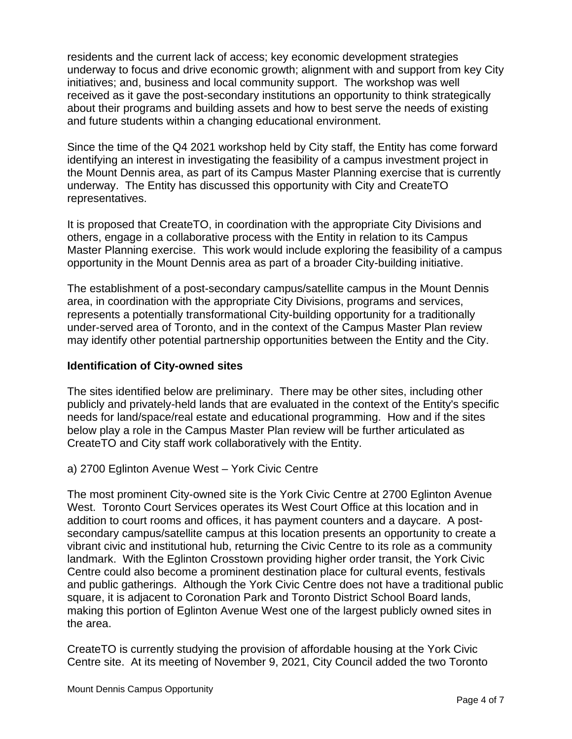residents and the current lack of access; key economic development strategies underway to focus and drive economic growth; alignment with and support from key City initiatives; and, business and local community support. The workshop was well received as it gave the post-secondary institutions an opportunity to think strategically about their programs and building assets and how to best serve the needs of existing and future students within a changing educational environment.

Since the time of the Q4 2021 workshop held by City staff, the Entity has come forward identifying an interest in investigating the feasibility of a campus investment project in the Mount Dennis area, as part of its Campus Master Planning exercise that is currently underway. The Entity has discussed this opportunity with City and CreateTO representatives.

It is proposed that CreateTO, in coordination with the appropriate City Divisions and others, engage in a collaborative process with the Entity in relation to its Campus Master Planning exercise. This work would include exploring the feasibility of a campus opportunity in the Mount Dennis area as part of a broader City-building initiative.

The establishment of a post-secondary campus/satellite campus in the Mount Dennis area, in coordination with the appropriate City Divisions, programs and services, represents a potentially transformational City-building opportunity for a traditionally under-served area of Toronto, and in the context of the Campus Master Plan review may identify other potential partnership opportunities between the Entity and the City.

#### **Identification of City-owned sites**

The sites identified below are preliminary. There may be other sites, including other publicly and privately-held lands that are evaluated in the context of the Entity's specific needs for land/space/real estate and educational programming. How and if the sites below play a role in the Campus Master Plan review will be further articulated as CreateTO and City staff work collaboratively with the Entity.

#### a) 2700 Eglinton Avenue West – York Civic Centre

The most prominent City-owned site is the York Civic Centre at 2700 Eglinton Avenue West. Toronto Court Services operates its West Court Office at this location and in addition to court rooms and offices, it has payment counters and a daycare. A postsecondary campus/satellite campus at this location presents an opportunity to create a vibrant civic and institutional hub, returning the Civic Centre to its role as a community landmark. With the Eglinton Crosstown providing higher order transit, the York Civic Centre could also become a prominent destination place for cultural events, festivals and public gatherings. Although the York Civic Centre does not have a traditional public square, it is adjacent to Coronation Park and Toronto District School Board lands, making this portion of Eglinton Avenue West one of the largest publicly owned sites in the area.

CreateTO is currently studying the provision of affordable housing at the York Civic Centre site. At its meeting of November 9, 2021, City Council added the two Toronto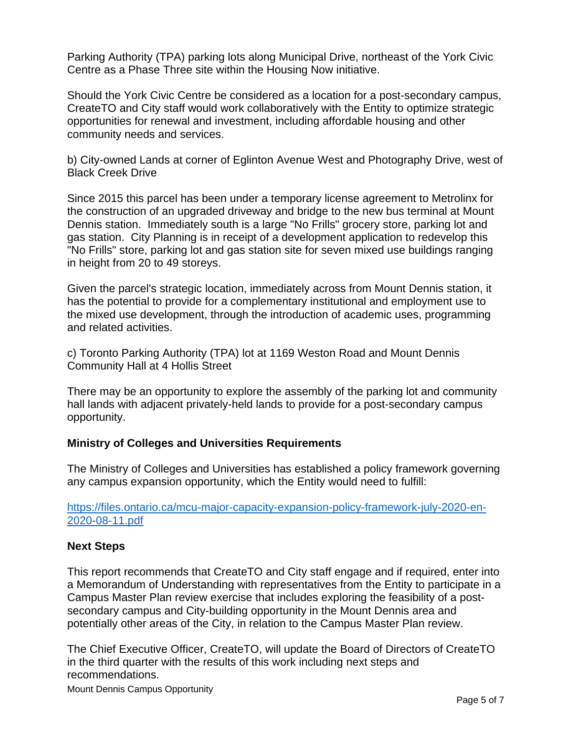Parking Authority (TPA) parking lots along Municipal Drive, northeast of the York Civic Centre as a Phase Three site within the Housing Now initiative.

Should the York Civic Centre be considered as a location for a post-secondary campus, CreateTO and City staff would work collaboratively with the Entity to optimize strategic opportunities for renewal and investment, including affordable housing and other community needs and services.

b) City-owned Lands at corner of Eglinton Avenue West and Photography Drive, west of Black Creek Drive

Since 2015 this parcel has been under a temporary license agreement to Metrolinx for the construction of an upgraded driveway and bridge to the new bus terminal at Mount Dennis station. Immediately south is a large "No Frills" grocery store, parking lot and gas station. City Planning is in receipt of a development application to redevelop this "No Frills" store, parking lot and gas station site for seven mixed use buildings ranging in height from 20 to 49 storeys.

Given the parcel's strategic location, immediately across from Mount Dennis station, it has the potential to provide for a complementary institutional and employment use to the mixed use development, through the introduction of academic uses, programming and related activities.

c) Toronto Parking Authority (TPA) lot at 1169 Weston Road and Mount Dennis Community Hall at 4 Hollis Street

There may be an opportunity to explore the assembly of the parking lot and community hall lands with adjacent privately-held lands to provide for a post-secondary campus opportunity.

#### **Ministry of Colleges and Universities Requirements**

The Ministry of Colleges and Universities has established a policy framework governing any campus expansion opportunity, which the Entity would need to fulfill:

[https://files.ontario.ca/mcu-major-capacity-expansion-policy-framework-july-2020-en-](https://files.ontario.ca/mcu-major-capacity-expansion-policy-framework-july-2020-en-2020-08-11.pdf)[2020-08-11.pdf](https://files.ontario.ca/mcu-major-capacity-expansion-policy-framework-july-2020-en-2020-08-11.pdf)

#### **Next Steps**

This report recommends that CreateTO and City staff engage and if required, enter into a Memorandum of Understanding with representatives from the Entity to participate in a Campus Master Plan review exercise that includes exploring the feasibility of a postsecondary campus and City-building opportunity in the Mount Dennis area and potentially other areas of the City, in relation to the Campus Master Plan review.

The Chief Executive Officer, CreateTO, will update the Board of Directors of CreateTO in the third quarter with the results of this work including next steps and recommendations.

Mount Dennis Campus Opportunity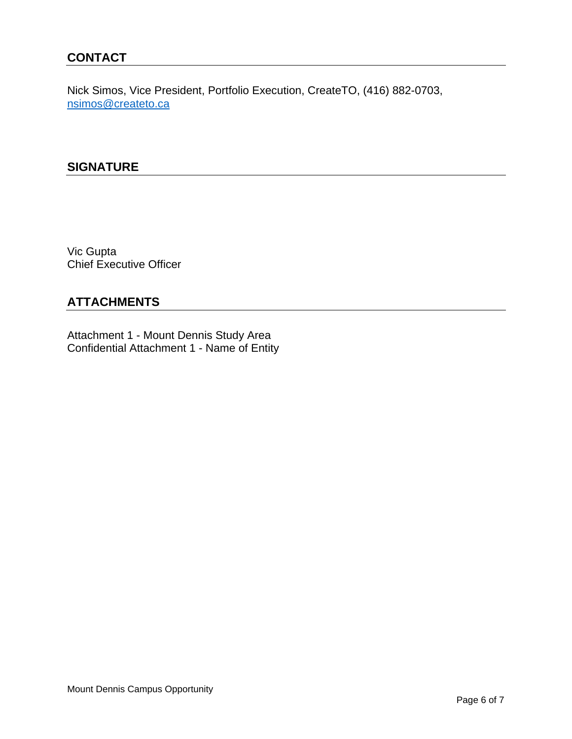## **CONTACT**

Nick Simos, Vice President, Portfolio Execution, CreateTO, (416) 882-0703, [nsimos@createto.ca](mailto:nsimos@createto.ca)

#### **SIGNATURE**

Vic Gupta Chief Executive Officer

## **ATTACHMENTS**

Attachment 1 - Mount Dennis Study Area Confidential Attachment 1 - Name of Entity